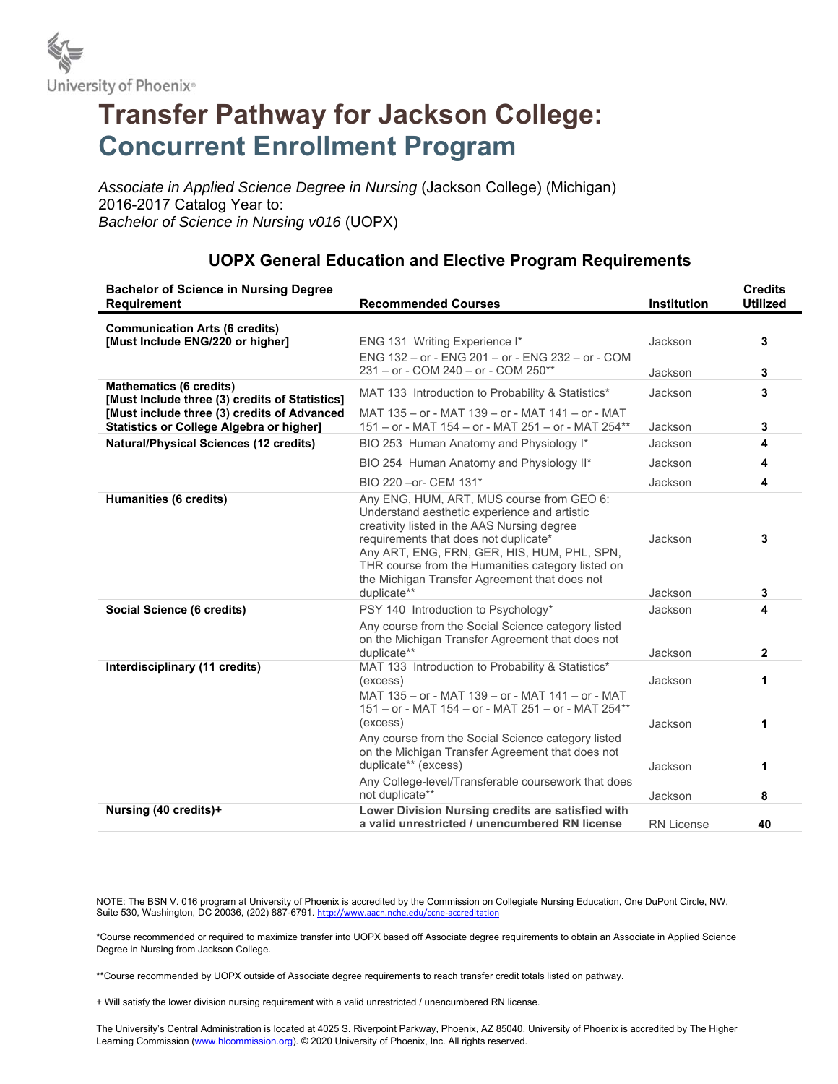

# **Transfer Pathway for Jackson College: Concurrent Enrollment Program**

*Associate in Applied Science Degree in Nursing* (Jackson College) (Michigan) 2016-2017 Catalog Year to: *Bachelor of Science in Nursing v016* (UOPX)

#### **Bachelor of Science in Nursing Degree Requirement Recommended Courses Institution Credits Utilized Communication Arts (6 credits) [Must Include ENG/220 or higher] ENG 131 Writing Experience I\* 13** Jackson **3** ENG 132 – or - ENG 201 – or - ENG 232 – or - COM 231 – or - COM 240 – or - COM 250\*\* Jackson **3 Mathematics (6 credits) INGLIFINATE:** (a credity of Credits of Statistics] MAT 133 Introduction to Probability & Statistics\* Jackson 3<br>**[Must Include three (3) credits of Statistics]** MAT 133 Introduction to Probability & Statistics\* **[Must include three (3) credits of Advanced Statistics or College Algebra or higher]**  MAT 135 – or - MAT 139 – or - MAT 141 – or - MAT 151 – or - MAT 154 – or - MAT 251 – or - MAT 254\*\* Jackson **3 Natural/Physical Sciences (12 credits) BIO 253 Human Anatomy and Physiology I\*** Jackson **4** BIO 254 Human Anatomy and Physiology II\* Jackson **4**  BIO 220 –or- CEM 131\* Jackson **4 Humanities (6 credits) Any ENG, HUM, ART, MUS course from GEO 6:** Understand aesthetic experience and artistic creativity listed in the AAS Nursing degree requirements that does not duplicate\* Jackson **3** Any ART, ENG, FRN, GER, HIS, HUM, PHL, SPN, THR course from the Humanities category listed on the Michigan Transfer Agreement that does not duplicate\*\* Jackson **3 Social Science (6 credits) All Science (6 credits) 4 PSY 140** Introduction to Psychology\* **10** Jackson **4** Any course from the Social Science category listed on the Michigan Transfer Agreement that does not duplicate\*\* Jackson **2 Interdisciplinary (11 credits)** MAT 133 Introduction to Probability & Statistics\* (excess) Jackson **1** MAT 135 – or - MAT 139 – or - MAT 141 – or - MAT 151 – or - MAT 154 – or - MAT 251 – or - MAT 254\*\* (excess) Jackson **1** Any course from the Social Science category listed on the Michigan Transfer Agreement that does not duplicate<sup>\*\*</sup> (excess) and the duplicate<sup>\*\*</sup> (excess) and the duplicate<sup>\*\*</sup> (excess) Any College-level/Transferable coursework that does not duplicate\*\* Jackson **8 Nursing (40 credits)+ Lower Division Nursing credits are satisfied with a valid unrestricted / unencumbered RN license** RN License **40**

## **UOPX General Education and Elective Program Requirements**

NOTE: The BSN V. 016 program at University of Phoenix is accredited by the Commission on Collegiate Nursing Education, One DuPont Circle, NW, Suite 530, Washington, DC 20036, (202) 887-6791. http://www.aacn.nche.edu/ccne-accreditation

\*Course recommended or required to maximize transfer into UOPX based off Associate degree requirements to obtain an Associate in Applied Science Degree in Nursing from Jackson College.

\*\*Course recommended by UOPX outside of Associate degree requirements to reach transfer credit totals listed on pathway.

+ Will satisfy the lower division nursing requirement with a valid unrestricted / unencumbered RN license.

The University's Central Administration is located at 4025 S. Riverpoint Parkway, Phoenix, AZ 85040. University of Phoenix is accredited by The Higher Learning Commission (www.hlcommission.org). © 2020 University of Phoenix, Inc. All rights reserved.